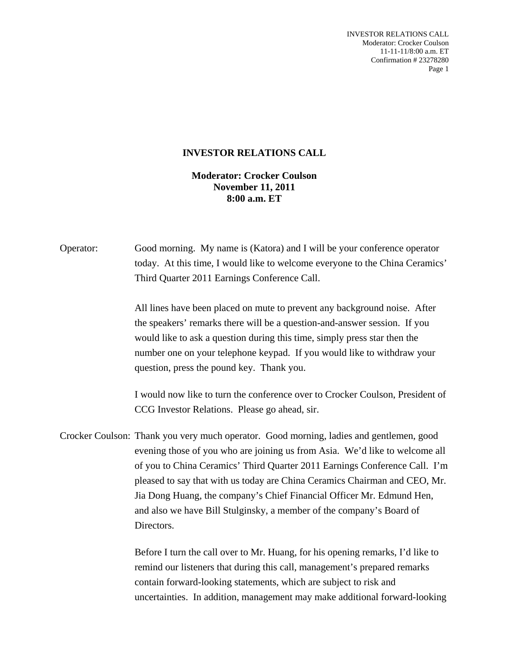INVESTOR RELATIONS CALL Moderator: Crocker Coulson 11-11-11/8:00 a.m. ET Confirmation # 23278280 Page 1

## **INVESTOR RELATIONS CALL**

## **Moderator: Crocker Coulson November 11, 2011 8:00 a.m. ET**

| Operator: | Good morning. My name is (Katora) and I will be your conference operator<br>today. At this time, I would like to welcome everyone to the China Ceramics'<br>Third Quarter 2011 Earnings Conference Call.                                                                                                                                                                                                                                                                                          |
|-----------|---------------------------------------------------------------------------------------------------------------------------------------------------------------------------------------------------------------------------------------------------------------------------------------------------------------------------------------------------------------------------------------------------------------------------------------------------------------------------------------------------|
|           | All lines have been placed on mute to prevent any background noise. After<br>the speakers' remarks there will be a question-and-answer session. If you<br>would like to ask a question during this time, simply press star then the<br>number one on your telephone keypad. If you would like to withdraw your<br>question, press the pound key. Thank you.                                                                                                                                       |
|           | I would now like to turn the conference over to Crocker Coulson, President of<br>CCG Investor Relations. Please go ahead, sir.                                                                                                                                                                                                                                                                                                                                                                    |
|           | Crocker Coulson: Thank you very much operator. Good morning, ladies and gentlemen, good<br>evening those of you who are joining us from Asia. We'd like to welcome all<br>of you to China Ceramics' Third Quarter 2011 Earnings Conference Call. I'm<br>pleased to say that with us today are China Ceramics Chairman and CEO, Mr.<br>Jia Dong Huang, the company's Chief Financial Officer Mr. Edmund Hen,<br>and also we have Bill Stulginsky, a member of the company's Board of<br>Directors. |
|           | Before I turn the call over to Mr. Huang, for his opening remarks, I'd like to                                                                                                                                                                                                                                                                                                                                                                                                                    |

remind our listeners that during this call, management's prepared remarks contain forward-looking statements, which are subject to risk and uncertainties. In addition, management may make additional forward-looking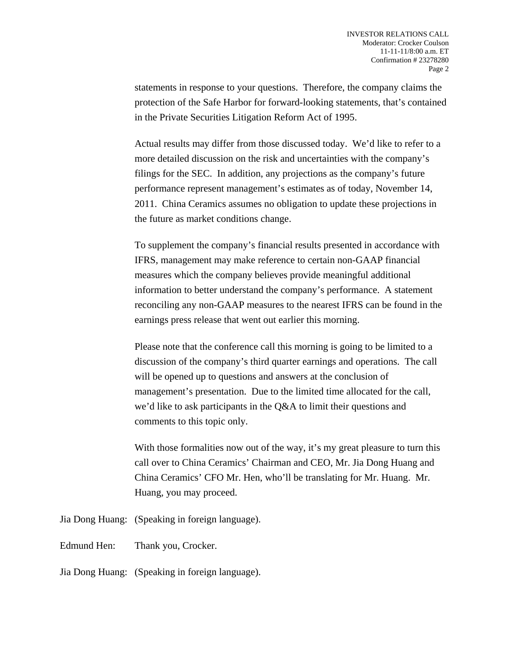statements in response to your questions. Therefore, the company claims the protection of the Safe Harbor for forward-looking statements, that's contained in the Private Securities Litigation Reform Act of 1995.

 Actual results may differ from those discussed today. We'd like to refer to a more detailed discussion on the risk and uncertainties with the company's filings for the SEC. In addition, any projections as the company's future performance represent management's estimates as of today, November 14, 2011. China Ceramics assumes no obligation to update these projections in the future as market conditions change.

 To supplement the company's financial results presented in accordance with IFRS, management may make reference to certain non-GAAP financial measures which the company believes provide meaningful additional information to better understand the company's performance. A statement reconciling any non-GAAP measures to the nearest IFRS can be found in the earnings press release that went out earlier this morning.

 Please note that the conference call this morning is going to be limited to a discussion of the company's third quarter earnings and operations. The call will be opened up to questions and answers at the conclusion of management's presentation. Due to the limited time allocated for the call, we'd like to ask participants in the Q&A to limit their questions and comments to this topic only.

With those formalities now out of the way, it's my great pleasure to turn this call over to China Ceramics' Chairman and CEO, Mr. Jia Dong Huang and China Ceramics' CFO Mr. Hen, who'll be translating for Mr. Huang. Mr. Huang, you may proceed.

Jia Dong Huang: (Speaking in foreign language).

Edmund Hen: Thank you, Crocker.

Jia Dong Huang: (Speaking in foreign language).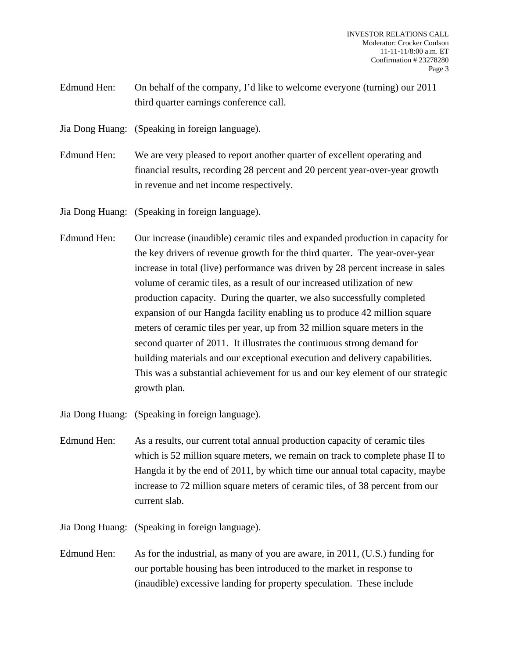- Edmund Hen: On behalf of the company, I'd like to welcome everyone (turning) our 2011 third quarter earnings conference call.
- Jia Dong Huang: (Speaking in foreign language).
- Edmund Hen: We are very pleased to report another quarter of excellent operating and financial results, recording 28 percent and 20 percent year-over-year growth in revenue and net income respectively.

Jia Dong Huang: (Speaking in foreign language).

- Edmund Hen: Our increase (inaudible) ceramic tiles and expanded production in capacity for the key drivers of revenue growth for the third quarter. The year-over-year increase in total (live) performance was driven by 28 percent increase in sales volume of ceramic tiles, as a result of our increased utilization of new production capacity. During the quarter, we also successfully completed expansion of our Hangda facility enabling us to produce 42 million square meters of ceramic tiles per year, up from 32 million square meters in the second quarter of 2011. It illustrates the continuous strong demand for building materials and our exceptional execution and delivery capabilities. This was a substantial achievement for us and our key element of our strategic growth plan.
- Jia Dong Huang: (Speaking in foreign language).
- Edmund Hen: As a results, our current total annual production capacity of ceramic tiles which is 52 million square meters, we remain on track to complete phase II to Hangda it by the end of 2011, by which time our annual total capacity, maybe increase to 72 million square meters of ceramic tiles, of 38 percent from our current slab.

Jia Dong Huang: (Speaking in foreign language).

Edmund Hen: As for the industrial, as many of you are aware, in 2011, (U.S.) funding for our portable housing has been introduced to the market in response to (inaudible) excessive landing for property speculation. These include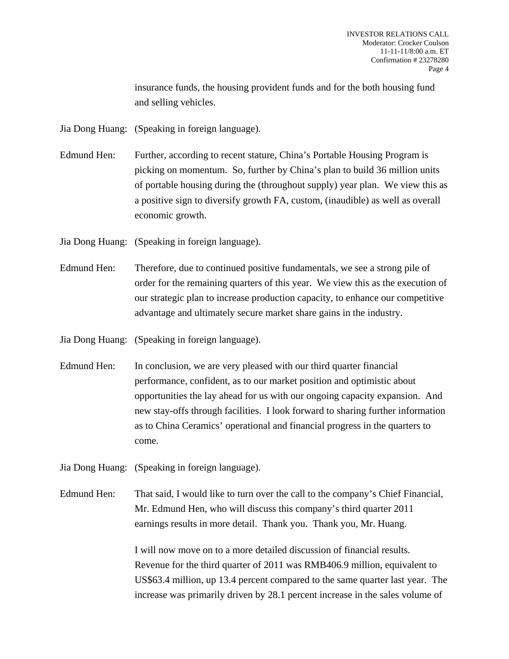insurance funds, the housing provident funds and for the both housing fund and selling vehicles.

Jia Dong Huang: (Speaking in foreign language).

Edmund Hen: Further, according to recent stature, China's Portable Housing Program is picking on momentum. So, further by China's plan to build 36 million units of portable housing during the (throughout supply) year plan. We view this as a positive sign to diversify growth FA, custom, (inaudible) as well as overall economic growth.

Jia Dong Huang: (Speaking in foreign language).

Edmund Hen: Therefore, due to continued positive fundamentals, we see a strong pile of order for the remaining quarters of this year. We view this as the execution of our strategic plan to increase production capacity, to enhance our competitive advantage and ultimately secure market share gains in the industry.

Jia Dong Huang: (Speaking in foreign language).

Edmund Hen: In conclusion, we are very pleased with our third quarter financial performance, confident, as to our market position and optimistic about opportunities the lay ahead for us with our ongoing capacity expansion. And new stay-offs through facilities. I look forward to sharing further information as to China Ceramics' operational and financial progress in the quarters to come.

Jia Dong Huang: (Speaking in foreign language).

Edmund Hen: That said, I would like to turn over the call to the company's Chief Financial, Mr. Edmund Hen, who will discuss this company's third quarter 2011 earnings results in more detail. Thank you. Thank you, Mr. Huang.

> I will now move on to a more detailed discussion of financial results. Revenue for the third quarter of 2011 was RMB406.9 million, equivalent to US\$63.4 million, up 13.4 percent compared to the same quarter last year. The increase was primarily driven by 28.1 percent increase in the sales volume of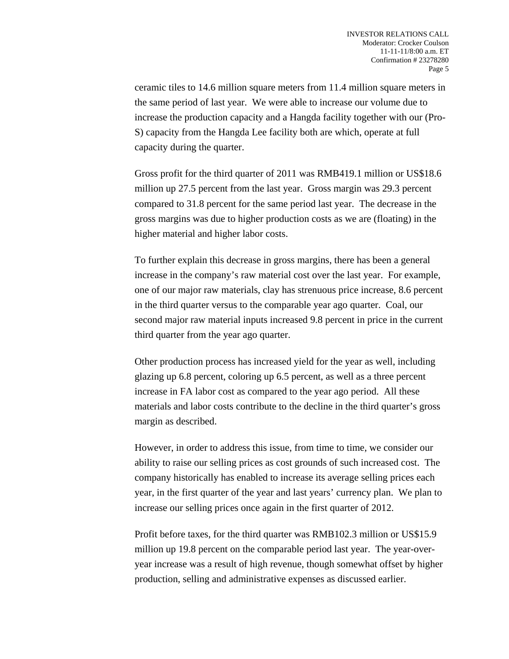ceramic tiles to 14.6 million square meters from 11.4 million square meters in the same period of last year. We were able to increase our volume due to increase the production capacity and a Hangda facility together with our (Pro-S) capacity from the Hangda Lee facility both are which, operate at full capacity during the quarter.

 Gross profit for the third quarter of 2011 was RMB419.1 million or US\$18.6 million up 27.5 percent from the last year. Gross margin was 29.3 percent compared to 31.8 percent for the same period last year. The decrease in the gross margins was due to higher production costs as we are (floating) in the higher material and higher labor costs.

 To further explain this decrease in gross margins, there has been a general increase in the company's raw material cost over the last year. For example, one of our major raw materials, clay has strenuous price increase, 8.6 percent in the third quarter versus to the comparable year ago quarter. Coal, our second major raw material inputs increased 9.8 percent in price in the current third quarter from the year ago quarter.

 Other production process has increased yield for the year as well, including glazing up 6.8 percent, coloring up 6.5 percent, as well as a three percent increase in FA labor cost as compared to the year ago period. All these materials and labor costs contribute to the decline in the third quarter's gross margin as described.

 However, in order to address this issue, from time to time, we consider our ability to raise our selling prices as cost grounds of such increased cost. The company historically has enabled to increase its average selling prices each year, in the first quarter of the year and last years' currency plan. We plan to increase our selling prices once again in the first quarter of 2012.

 Profit before taxes, for the third quarter was RMB102.3 million or US\$15.9 million up 19.8 percent on the comparable period last year. The year-overyear increase was a result of high revenue, though somewhat offset by higher production, selling and administrative expenses as discussed earlier.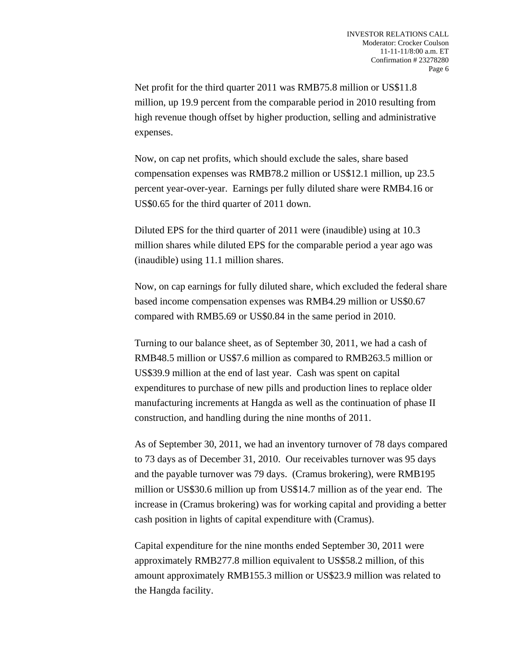Net profit for the third quarter 2011 was RMB75.8 million or US\$11.8 million, up 19.9 percent from the comparable period in 2010 resulting from high revenue though offset by higher production, selling and administrative expenses.

 Now, on cap net profits, which should exclude the sales, share based compensation expenses was RMB78.2 million or US\$12.1 million, up 23.5 percent year-over-year. Earnings per fully diluted share were RMB4.16 or US\$0.65 for the third quarter of 2011 down.

 Diluted EPS for the third quarter of 2011 were (inaudible) using at 10.3 million shares while diluted EPS for the comparable period a year ago was (inaudible) using 11.1 million shares.

 Now, on cap earnings for fully diluted share, which excluded the federal share based income compensation expenses was RMB4.29 million or US\$0.67 compared with RMB5.69 or US\$0.84 in the same period in 2010.

 Turning to our balance sheet, as of September 30, 2011, we had a cash of RMB48.5 million or US\$7.6 million as compared to RMB263.5 million or US\$39.9 million at the end of last year. Cash was spent on capital expenditures to purchase of new pills and production lines to replace older manufacturing increments at Hangda as well as the continuation of phase II construction, and handling during the nine months of 2011.

 As of September 30, 2011, we had an inventory turnover of 78 days compared to 73 days as of December 31, 2010. Our receivables turnover was 95 days and the payable turnover was 79 days. (Cramus brokering), were RMB195 million or US\$30.6 million up from US\$14.7 million as of the year end. The increase in (Cramus brokering) was for working capital and providing a better cash position in lights of capital expenditure with (Cramus).

 Capital expenditure for the nine months ended September 30, 2011 were approximately RMB277.8 million equivalent to US\$58.2 million, of this amount approximately RMB155.3 million or US\$23.9 million was related to the Hangda facility.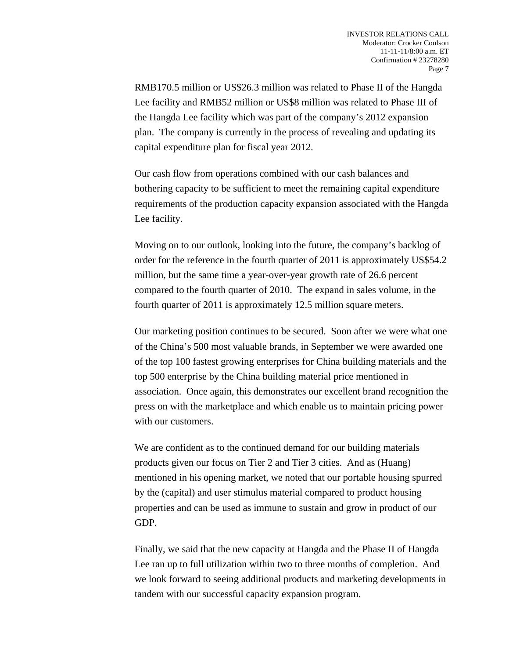RMB170.5 million or US\$26.3 million was related to Phase II of the Hangda Lee facility and RMB52 million or US\$8 million was related to Phase III of the Hangda Lee facility which was part of the company's 2012 expansion plan. The company is currently in the process of revealing and updating its capital expenditure plan for fiscal year 2012.

 Our cash flow from operations combined with our cash balances and bothering capacity to be sufficient to meet the remaining capital expenditure requirements of the production capacity expansion associated with the Hangda Lee facility.

 Moving on to our outlook, looking into the future, the company's backlog of order for the reference in the fourth quarter of 2011 is approximately US\$54.2 million, but the same time a year-over-year growth rate of 26.6 percent compared to the fourth quarter of 2010. The expand in sales volume, in the fourth quarter of 2011 is approximately 12.5 million square meters.

 Our marketing position continues to be secured. Soon after we were what one of the China's 500 most valuable brands, in September we were awarded one of the top 100 fastest growing enterprises for China building materials and the top 500 enterprise by the China building material price mentioned in association. Once again, this demonstrates our excellent brand recognition the press on with the marketplace and which enable us to maintain pricing power with our customers.

 We are confident as to the continued demand for our building materials products given our focus on Tier 2 and Tier 3 cities. And as (Huang) mentioned in his opening market, we noted that our portable housing spurred by the (capital) and user stimulus material compared to product housing properties and can be used as immune to sustain and grow in product of our GDP.

 Finally, we said that the new capacity at Hangda and the Phase II of Hangda Lee ran up to full utilization within two to three months of completion. And we look forward to seeing additional products and marketing developments in tandem with our successful capacity expansion program.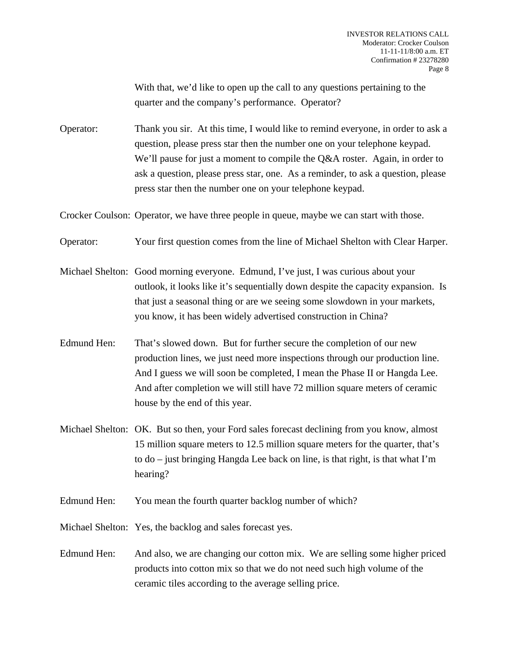With that, we'd like to open up the call to any questions pertaining to the quarter and the company's performance. Operator?

Operator: Thank you sir. At this time, I would like to remind everyone, in order to ask a question, please press star then the number one on your telephone keypad. We'll pause for just a moment to compile the Q&A roster. Again, in order to ask a question, please press star, one. As a reminder, to ask a question, please press star then the number one on your telephone keypad.

Crocker Coulson: Operator, we have three people in queue, maybe we can start with those.

Operator: Your first question comes from the line of Michael Shelton with Clear Harper.

- Michael Shelton: Good morning everyone. Edmund, I've just, I was curious about your outlook, it looks like it's sequentially down despite the capacity expansion. Is that just a seasonal thing or are we seeing some slowdown in your markets, you know, it has been widely advertised construction in China?
- Edmund Hen: That's slowed down. But for further secure the completion of our new production lines, we just need more inspections through our production line. And I guess we will soon be completed, I mean the Phase II or Hangda Lee. And after completion we will still have 72 million square meters of ceramic house by the end of this year.
- Michael Shelton: OK. But so then, your Ford sales forecast declining from you know, almost 15 million square meters to 12.5 million square meters for the quarter, that's to do – just bringing Hangda Lee back on line, is that right, is that what I'm hearing?

Edmund Hen: You mean the fourth quarter backlog number of which?

Michael Shelton: Yes, the backlog and sales forecast yes.

Edmund Hen: And also, we are changing our cotton mix. We are selling some higher priced products into cotton mix so that we do not need such high volume of the ceramic tiles according to the average selling price.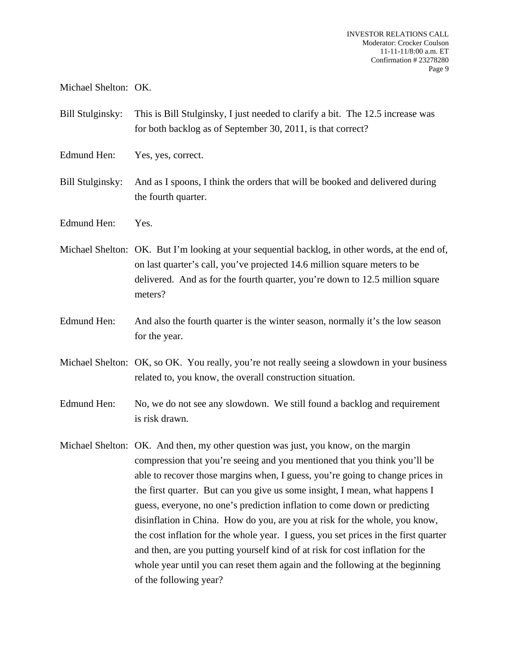Michael Shelton: OK.

- Bill Stulginsky: This is Bill Stulginsky, I just needed to clarify a bit. The 12.5 increase was for both backlog as of September 30, 2011, is that correct?
- Edmund Hen: Yes, yes, correct.
- Bill Stulginsky: And as I spoons, I think the orders that will be booked and delivered during the fourth quarter.
- Edmund Hen: Yes.
- Michael Shelton: OK. But I'm looking at your sequential backlog, in other words, at the end of, on last quarter's call, you've projected 14.6 million square meters to be delivered. And as for the fourth quarter, you're down to 12.5 million square meters?
- Edmund Hen: And also the fourth quarter is the winter season, normally it's the low season for the year.
- Michael Shelton: OK, so OK. You really, you're not really seeing a slowdown in your business related to, you know, the overall construction situation.
- Edmund Hen: No, we do not see any slowdown. We still found a backlog and requirement is risk drawn.
- Michael Shelton: OK. And then, my other question was just, you know, on the margin compression that you're seeing and you mentioned that you think you'll be able to recover those margins when, I guess, you're going to change prices in the first quarter. But can you give us some insight, I mean, what happens I guess, everyone, no one's prediction inflation to come down or predicting disinflation in China. How do you, are you at risk for the whole, you know, the cost inflation for the whole year. I guess, you set prices in the first quarter and then, are you putting yourself kind of at risk for cost inflation for the whole year until you can reset them again and the following at the beginning of the following year?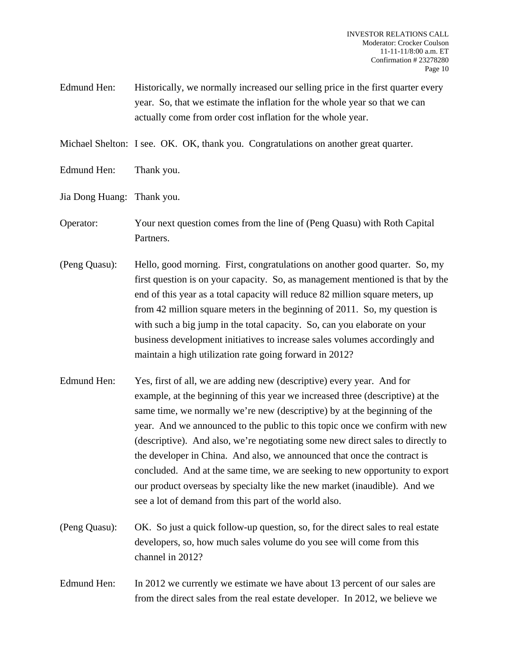Edmund Hen: Historically, we normally increased our selling price in the first quarter every year. So, that we estimate the inflation for the whole year so that we can actually come from order cost inflation for the whole year.

Michael Shelton: I see. OK. OK, thank you. Congratulations on another great quarter.

- Edmund Hen: Thank you.
- Jia Dong Huang: Thank you.
- Operator: Your next question comes from the line of (Peng Quasu) with Roth Capital Partners.
- (Peng Quasu): Hello, good morning. First, congratulations on another good quarter. So, my first question is on your capacity. So, as management mentioned is that by the end of this year as a total capacity will reduce 82 million square meters, up from 42 million square meters in the beginning of 2011. So, my question is with such a big jump in the total capacity. So, can you elaborate on your business development initiatives to increase sales volumes accordingly and maintain a high utilization rate going forward in 2012?
- Edmund Hen: Yes, first of all, we are adding new (descriptive) every year. And for example, at the beginning of this year we increased three (descriptive) at the same time, we normally we're new (descriptive) by at the beginning of the year. And we announced to the public to this topic once we confirm with new (descriptive). And also, we're negotiating some new direct sales to directly to the developer in China. And also, we announced that once the contract is concluded. And at the same time, we are seeking to new opportunity to export our product overseas by specialty like the new market (inaudible). And we see a lot of demand from this part of the world also.
- (Peng Quasu): OK. So just a quick follow-up question, so, for the direct sales to real estate developers, so, how much sales volume do you see will come from this channel in 2012?
- Edmund Hen: In 2012 we currently we estimate we have about 13 percent of our sales are from the direct sales from the real estate developer. In 2012, we believe we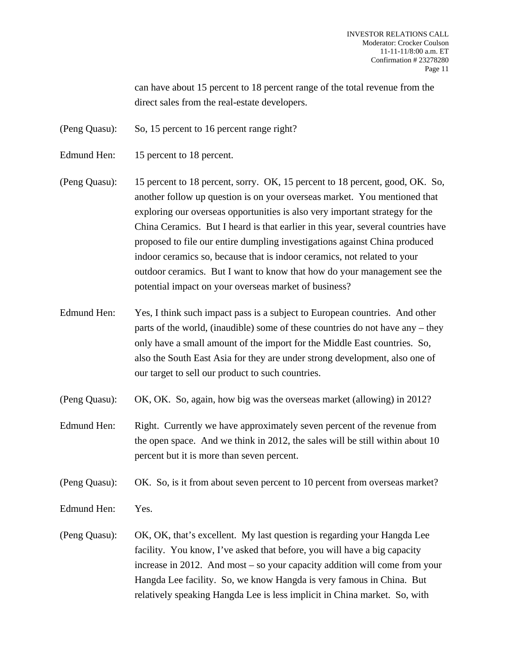can have about 15 percent to 18 percent range of the total revenue from the direct sales from the real-estate developers.

- (Peng Quasu): So, 15 percent to 16 percent range right?
- Edmund Hen: 15 percent to 18 percent.
- (Peng Quasu): 15 percent to 18 percent, sorry. OK, 15 percent to 18 percent, good, OK. So, another follow up question is on your overseas market. You mentioned that exploring our overseas opportunities is also very important strategy for the China Ceramics. But I heard is that earlier in this year, several countries have proposed to file our entire dumpling investigations against China produced indoor ceramics so, because that is indoor ceramics, not related to your outdoor ceramics. But I want to know that how do your management see the potential impact on your overseas market of business?
- Edmund Hen: Yes, I think such impact pass is a subject to European countries. And other parts of the world, (inaudible) some of these countries do not have any – they only have a small amount of the import for the Middle East countries. So, also the South East Asia for they are under strong development, also one of our target to sell our product to such countries.
- (Peng Quasu): OK, OK. So, again, how big was the overseas market (allowing) in 2012?
- Edmund Hen: Right. Currently we have approximately seven percent of the revenue from the open space. And we think in 2012, the sales will be still within about 10 percent but it is more than seven percent.
- (Peng Quasu): OK. So, is it from about seven percent to 10 percent from overseas market?
- Edmund Hen: Yes.
- (Peng Quasu): OK, OK, that's excellent. My last question is regarding your Hangda Lee facility. You know, I've asked that before, you will have a big capacity increase in 2012. And most – so your capacity addition will come from your Hangda Lee facility. So, we know Hangda is very famous in China. But relatively speaking Hangda Lee is less implicit in China market. So, with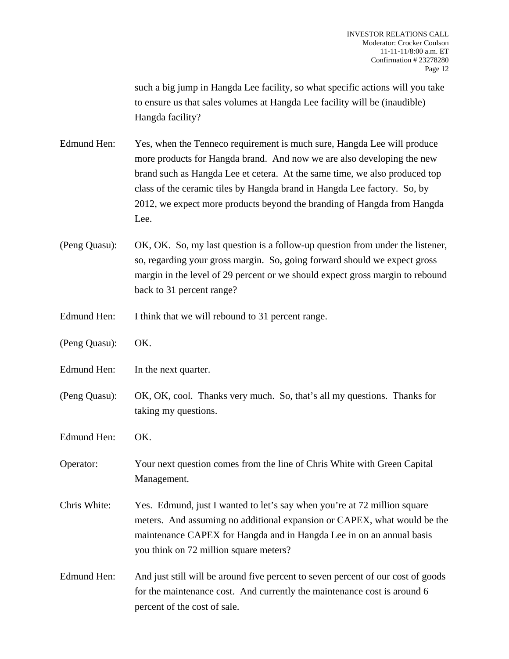such a big jump in Hangda Lee facility, so what specific actions will you take to ensure us that sales volumes at Hangda Lee facility will be (inaudible) Hangda facility?

- Edmund Hen: Yes, when the Tenneco requirement is much sure, Hangda Lee will produce more products for Hangda brand. And now we are also developing the new brand such as Hangda Lee et cetera. At the same time, we also produced top class of the ceramic tiles by Hangda brand in Hangda Lee factory. So, by 2012, we expect more products beyond the branding of Hangda from Hangda Lee.
- (Peng Quasu): OK, OK. So, my last question is a follow-up question from under the listener, so, regarding your gross margin. So, going forward should we expect gross margin in the level of 29 percent or we should expect gross margin to rebound back to 31 percent range?
- Edmund Hen: I think that we will rebound to 31 percent range.
- (Peng Quasu): OK.
- Edmund Hen: In the next quarter.
- (Peng Quasu): OK, OK, cool. Thanks very much. So, that's all my questions. Thanks for taking my questions.
- Edmund Hen: OK.
- Operator: Your next question comes from the line of Chris White with Green Capital Management.
- Chris White: Yes. Edmund, just I wanted to let's say when you're at 72 million square meters. And assuming no additional expansion or CAPEX, what would be the maintenance CAPEX for Hangda and in Hangda Lee in on an annual basis you think on 72 million square meters?
- Edmund Hen: And just still will be around five percent to seven percent of our cost of goods for the maintenance cost. And currently the maintenance cost is around 6 percent of the cost of sale.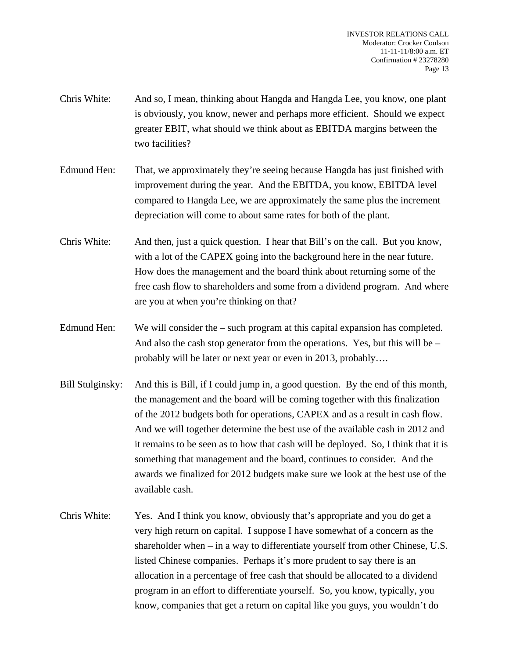- Chris White: And so, I mean, thinking about Hangda and Hangda Lee, you know, one plant is obviously, you know, newer and perhaps more efficient. Should we expect greater EBIT, what should we think about as EBITDA margins between the two facilities?
- Edmund Hen: That, we approximately they're seeing because Hangda has just finished with improvement during the year. And the EBITDA, you know, EBITDA level compared to Hangda Lee, we are approximately the same plus the increment depreciation will come to about same rates for both of the plant.
- Chris White: And then, just a quick question. I hear that Bill's on the call. But you know, with a lot of the CAPEX going into the background here in the near future. How does the management and the board think about returning some of the free cash flow to shareholders and some from a dividend program. And where are you at when you're thinking on that?
- Edmund Hen: We will consider the such program at this capital expansion has completed. And also the cash stop generator from the operations. Yes, but this will be – probably will be later or next year or even in 2013, probably….
- Bill Stulginsky: And this is Bill, if I could jump in, a good question. By the end of this month, the management and the board will be coming together with this finalization of the 2012 budgets both for operations, CAPEX and as a result in cash flow. And we will together determine the best use of the available cash in 2012 and it remains to be seen as to how that cash will be deployed. So, I think that it is something that management and the board, continues to consider. And the awards we finalized for 2012 budgets make sure we look at the best use of the available cash.
- Chris White: Yes. And I think you know, obviously that's appropriate and you do get a very high return on capital. I suppose I have somewhat of a concern as the shareholder when – in a way to differentiate yourself from other Chinese, U.S. listed Chinese companies. Perhaps it's more prudent to say there is an allocation in a percentage of free cash that should be allocated to a dividend program in an effort to differentiate yourself. So, you know, typically, you know, companies that get a return on capital like you guys, you wouldn't do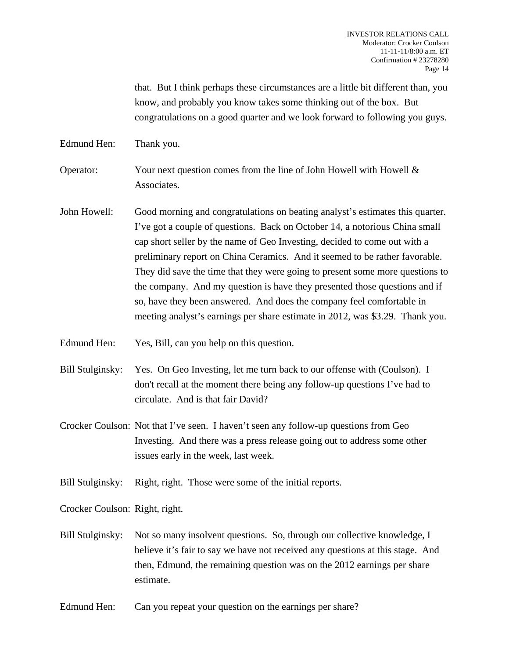that. But I think perhaps these circumstances are a little bit different than, you know, and probably you know takes some thinking out of the box. But congratulations on a good quarter and we look forward to following you guys.

Edmund Hen: Thank you.

Operator: Your next question comes from the line of John Howell with Howell & Associates.

John Howell: Good morning and congratulations on beating analyst's estimates this quarter. I've got a couple of questions. Back on October 14, a notorious China small cap short seller by the name of Geo Investing, decided to come out with a preliminary report on China Ceramics. And it seemed to be rather favorable. They did save the time that they were going to present some more questions to the company. And my question is have they presented those questions and if so, have they been answered. And does the company feel comfortable in meeting analyst's earnings per share estimate in 2012, was \$3.29. Thank you.

Edmund Hen: Yes, Bill, can you help on this question.

- Bill Stulginsky: Yes. On Geo Investing, let me turn back to our offense with (Coulson). I don't recall at the moment there being any follow-up questions I've had to circulate. And is that fair David?
- Crocker Coulson: Not that I've seen. I haven't seen any follow-up questions from Geo Investing. And there was a press release going out to address some other issues early in the week, last week.

Bill Stulginsky: Right, right. Those were some of the initial reports.

Crocker Coulson: Right, right.

- Bill Stulginsky: Not so many insolvent questions. So, through our collective knowledge, I believe it's fair to say we have not received any questions at this stage. And then, Edmund, the remaining question was on the 2012 earnings per share estimate.
- Edmund Hen: Can you repeat your question on the earnings per share?